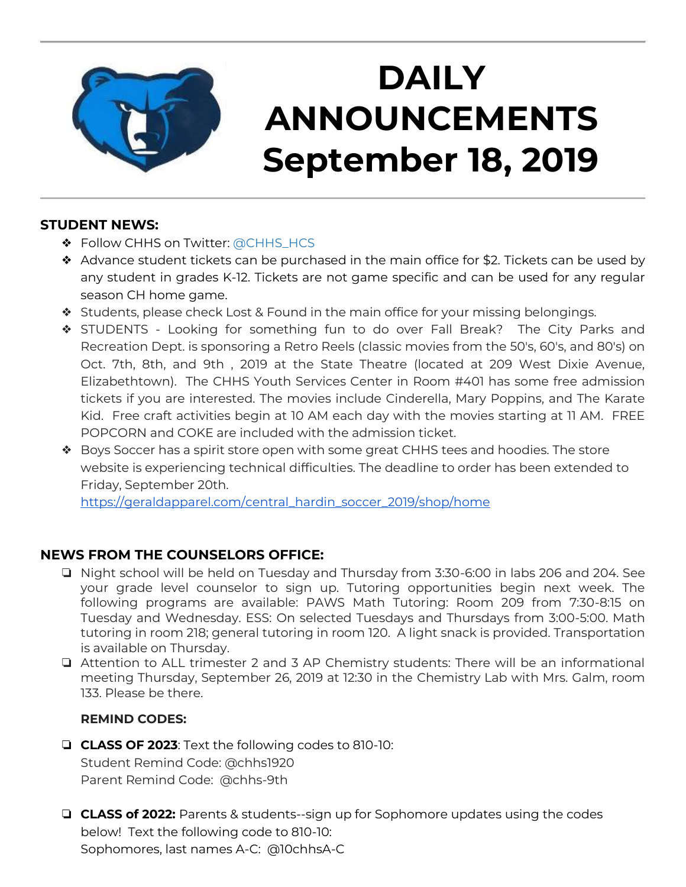

## **DAILY ANNOUNCEMENTS September 18, 2019**

### **STUDENT NEWS:**

- ❖ Follow CHHS on Twitter: [@CHHS\\_HCS](https://twitter.com/CHHS_HCS)
- ❖ Advance student tickets can be purchased in the main office for \$2. Tickets can be used by any student in grades K-12. Tickets are not game specific and can be used for any regular season CH home game.
- ❖ Students, please check Lost & Found in the main office for your missing belongings.
- ❖ STUDENTS Looking for something fun to do over Fall Break? The City Parks and Recreation Dept. is sponsoring a Retro Reels (classic movies from the 50's, 60's, and 80's) on Oct. 7th, 8th, and 9th , 2019 at the State Theatre (located at 209 West Dixie Avenue, Elizabethtown). The CHHS Youth Services Center in Room #401 has some free admission tickets if you are interested. The movies include Cinderella, Mary Poppins, and The Karate Kid. Free craft activities begin at 10 AM each day with the movies starting at 11 AM. FREE POPCORN and COKE are included with the admission ticket.
- ❖ Boys Soccer has a spirit store open with some great CHHS tees and hoodies. The store website is experiencing technical difficulties. The deadline to order has been extended to Friday, September 20th.

[https://geraldapparel.com/central\\_hardin\\_soccer\\_2019/shop/home](https://geraldapparel.com/central_hardin_soccer_2019/shop/home)

### **NEWS FROM THE COUNSELORS OFFICE:**

- ❏ Night school will be held on Tuesday and Thursday from 3:30-6:00 in labs 206 and 204. See your grade level counselor to sign up. Tutoring opportunities begin next week. The following programs are available: PAWS Math Tutoring: Room 209 from 7:30-8:15 on Tuesday and Wednesday. ESS: On selected Tuesdays and Thursdays from 3:00-5:00. Math tutoring in room 218; general tutoring in room 120. A light snack is provided. Transportation is available on Thursday.
- ❏ Attention to ALL trimester 2 and 3 AP Chemistry students: There will be an informational meeting Thursday, September 26, 2019 at 12:30 in the Chemistry Lab with Mrs. Galm, room 133. Please be there.

#### **REMIND CODES:**

- ❏ **CLASS OF 2023**: Text the following codes to 810-10: Student Remind Code: @chhs1920 Parent Remind Code: @chhs-9th
- ❏ **CLASS of 2022:** Parents & students--sign up for Sophomore updates using the codes below! Text the following code to 810-10: Sophomores, last names A-C: @10chhsA-C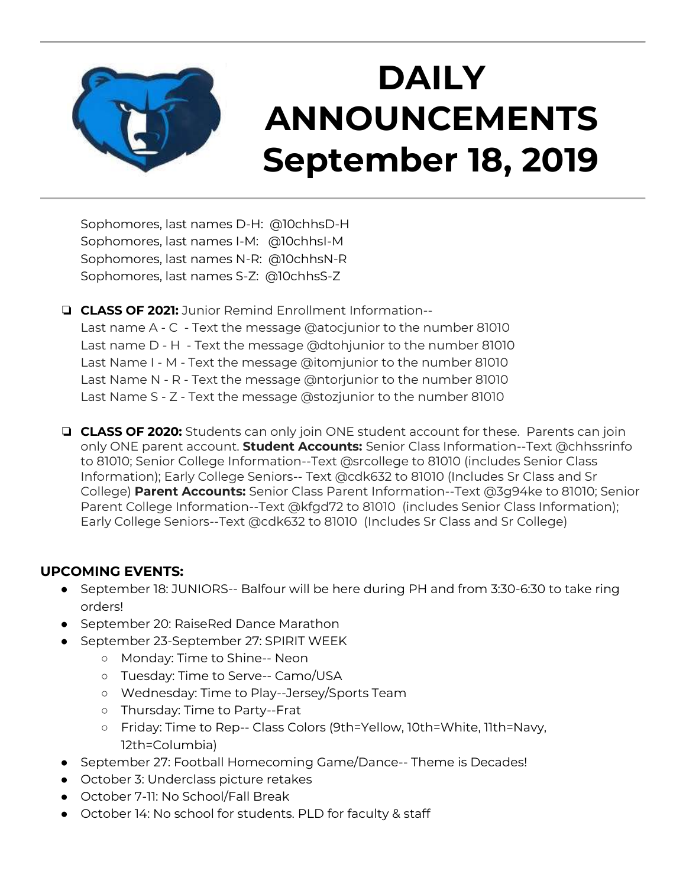

## **DAILY ANNOUNCEMENTS September 18, 2019**

Sophomores, last names D-H: @10chhsD-H Sophomores, last names I-M: @10chhsI-M Sophomores, last names N-R: @10chhsN-R Sophomores, last names S-Z: @10chhsS-Z

❏ **CLASS OF 2021:** Junior Remind Enrollment Information--

Last name A - C - Text the message @atocjunior to the number 81010 Last name D - H - Text the message @dtohjunior to the number 81010 Last Name I - M - Text the message @itomjunior to the number 81010 Last Name N - R - Text the message @ntorjunior to the number 81010 Last Name S - Z - Text the message @stozjunior to the number 81010

❏ **CLASS OF 2020:** Students can only join ONE student account for these. Parents can join only ONE parent account. **Student Accounts:** Senior Class Information--Text @chhssrinfo to 81010; Senior College Information--Text @srcollege to 81010 (includes Senior Class Information); Early College Seniors-- Text @cdk632 to 81010 (Includes Sr Class and Sr College) **Parent Accounts:** Senior Class Parent Information--Text @3g94ke to 81010; Senior Parent College Information--Text @kfgd72 to 81010 (includes Senior Class Information); Early College Seniors--Text @cdk632 to 81010 (Includes Sr Class and Sr College)

### **UPCOMING EVENTS:**

- September 18: JUNIORS-- Balfour will be here during PH and from 3:30-6:30 to take ring orders!
- September 20: RaiseRed Dance Marathon
- September 23-September 27: SPIRIT WEEK
	- Monday: Time to Shine-- Neon
	- Tuesday: Time to Serve-- Camo/USA
	- Wednesday: Time to Play--Jersey/Sports Team
	- Thursday: Time to Party--Frat
	- Friday: Time to Rep-- Class Colors (9th=Yellow, 10th=White, 11th=Navy, 12th=Columbia)
- September 27: Football Homecoming Game/Dance-- Theme is Decades!
- October 3: Underclass picture retakes
- October 7-11: No School/Fall Break
- October 14: No school for students. PLD for faculty & staff